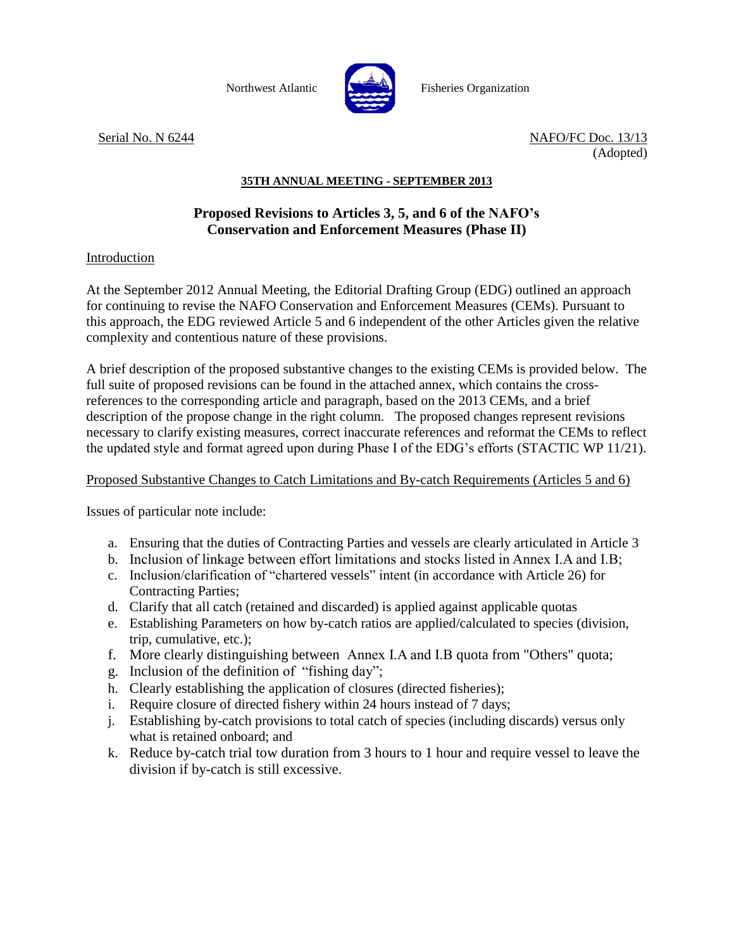

Northwest Atlantic **No. 1989** Fisheries Organization

Serial No. N 6244 NAFO/FC Doc. 13/13 (Adopted)

## **35TH ANNUAL MEETING - SEPTEMBER 2013**

## **Proposed Revisions to Articles 3, 5, and 6 of the NAFO's Conservation and Enforcement Measures (Phase II)**

## Introduction

At the September 2012 Annual Meeting, the Editorial Drafting Group (EDG) outlined an approach for continuing to revise the NAFO Conservation and Enforcement Measures (CEMs). Pursuant to this approach, the EDG reviewed Article 5 and 6 independent of the other Articles given the relative complexity and contentious nature of these provisions.

A brief description of the proposed substantive changes to the existing CEMs is provided below. The full suite of proposed revisions can be found in the attached annex, which contains the crossreferences to the corresponding article and paragraph, based on the 2013 CEMs, and a brief description of the propose change in the right column. The proposed changes represent revisions necessary to clarify existing measures, correct inaccurate references and reformat the CEMs to reflect the updated style and format agreed upon during Phase I of the EDG's efforts (STACTIC WP 11/21).

## Proposed Substantive Changes to Catch Limitations and By-catch Requirements (Articles 5 and 6)

Issues of particular note include:

- a. Ensuring that the duties of Contracting Parties and vessels are clearly articulated in Article 3
- b. Inclusion of linkage between effort limitations and stocks listed in Annex I.A and I.B;
- c. Inclusion/clarification of "chartered vessels" intent (in accordance with Article 26) for Contracting Parties;
- d. Clarify that all catch (retained and discarded) is applied against applicable quotas
- e. Establishing Parameters on how by-catch ratios are applied/calculated to species (division, trip, cumulative, etc.);
- f. More clearly distinguishing between Annex I.A and I.B quota from "Others" quota;
- g. Inclusion of the definition of "fishing day";
- h. Clearly establishing the application of closures (directed fisheries);
- i. Require closure of directed fishery within 24 hours instead of 7 days;
- j. Establishing by-catch provisions to total catch of species (including discards) versus only what is retained onboard; and
- k. Reduce by-catch trial tow duration from 3 hours to 1 hour and require vessel to leave the division if by-catch is still excessive.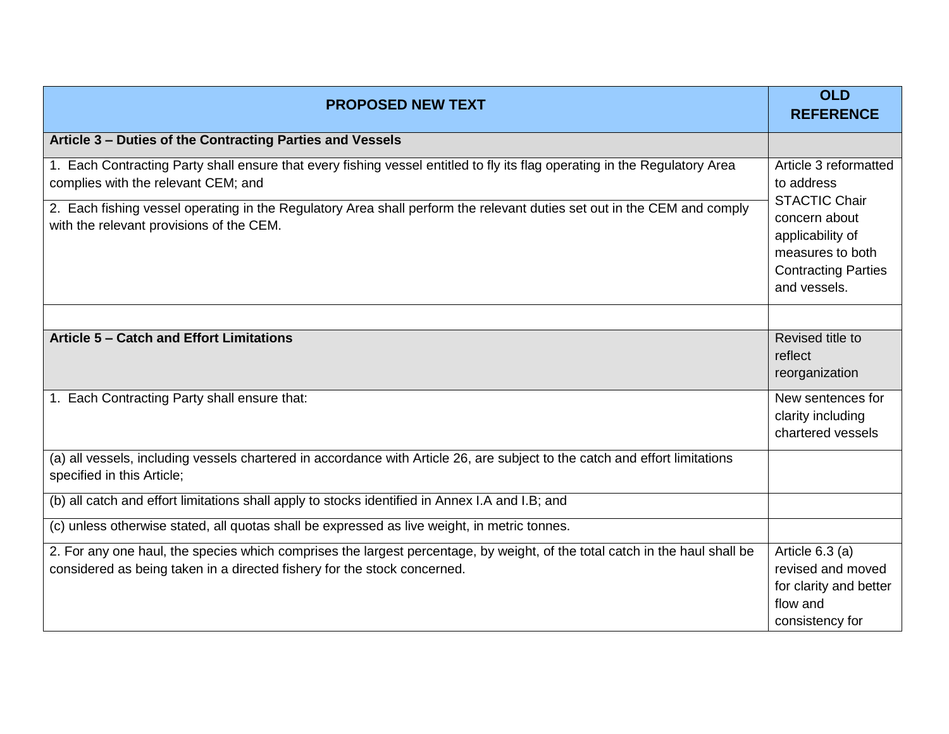| <b>PROPOSED NEW TEXT</b>                                                                                                                                                                                                                                                                                                                 | <b>OLD</b><br><b>REFERENCE</b>                                                                                                                                     |
|------------------------------------------------------------------------------------------------------------------------------------------------------------------------------------------------------------------------------------------------------------------------------------------------------------------------------------------|--------------------------------------------------------------------------------------------------------------------------------------------------------------------|
| Article 3 - Duties of the Contracting Parties and Vessels                                                                                                                                                                                                                                                                                |                                                                                                                                                                    |
| 1. Each Contracting Party shall ensure that every fishing vessel entitled to fly its flag operating in the Regulatory Area<br>complies with the relevant CEM; and<br>2. Each fishing vessel operating in the Regulatory Area shall perform the relevant duties set out in the CEM and comply<br>with the relevant provisions of the CEM. | Article 3 reformatted<br>to address<br><b>STACTIC Chair</b><br>concern about<br>applicability of<br>measures to both<br><b>Contracting Parties</b><br>and vessels. |
|                                                                                                                                                                                                                                                                                                                                          |                                                                                                                                                                    |
| <b>Article 5 - Catch and Effort Limitations</b>                                                                                                                                                                                                                                                                                          | Revised title to<br>reflect<br>reorganization                                                                                                                      |
| 1. Each Contracting Party shall ensure that:                                                                                                                                                                                                                                                                                             | New sentences for<br>clarity including<br>chartered vessels                                                                                                        |
| (a) all vessels, including vessels chartered in accordance with Article 26, are subject to the catch and effort limitations<br>specified in this Article;                                                                                                                                                                                |                                                                                                                                                                    |
| (b) all catch and effort limitations shall apply to stocks identified in Annex I.A and I.B; and                                                                                                                                                                                                                                          |                                                                                                                                                                    |
| (c) unless otherwise stated, all quotas shall be expressed as live weight, in metric tonnes.                                                                                                                                                                                                                                             |                                                                                                                                                                    |
| 2. For any one haul, the species which comprises the largest percentage, by weight, of the total catch in the haul shall be<br>considered as being taken in a directed fishery for the stock concerned.                                                                                                                                  | Article $6.3$ (a)<br>revised and moved<br>for clarity and better<br>flow and<br>consistency for                                                                    |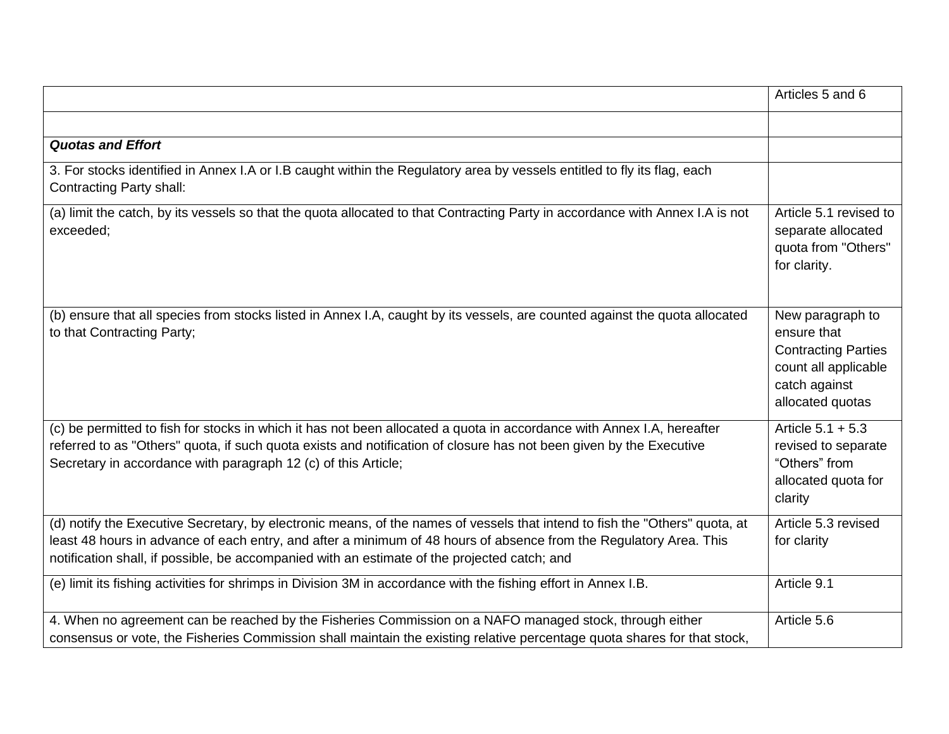|                                                                                                                                                                                                                                                                                                                                                   | Articles 5 and 6                                                                                                           |
|---------------------------------------------------------------------------------------------------------------------------------------------------------------------------------------------------------------------------------------------------------------------------------------------------------------------------------------------------|----------------------------------------------------------------------------------------------------------------------------|
|                                                                                                                                                                                                                                                                                                                                                   |                                                                                                                            |
| <b>Quotas and Effort</b>                                                                                                                                                                                                                                                                                                                          |                                                                                                                            |
| 3. For stocks identified in Annex I.A or I.B caught within the Regulatory area by vessels entitled to fly its flag, each<br><b>Contracting Party shall:</b>                                                                                                                                                                                       |                                                                                                                            |
| (a) limit the catch, by its vessels so that the quota allocated to that Contracting Party in accordance with Annex I.A is not<br>exceeded;                                                                                                                                                                                                        | Article 5.1 revised to<br>separate allocated<br>quota from "Others"<br>for clarity.                                        |
| (b) ensure that all species from stocks listed in Annex I.A, caught by its vessels, are counted against the quota allocated<br>to that Contracting Party;                                                                                                                                                                                         | New paragraph to<br>ensure that<br><b>Contracting Parties</b><br>count all applicable<br>catch against<br>allocated quotas |
| (c) be permitted to fish for stocks in which it has not been allocated a quota in accordance with Annex I.A, hereafter<br>referred to as "Others" quota, if such quota exists and notification of closure has not been given by the Executive<br>Secretary in accordance with paragraph 12 (c) of this Article;                                   | Article $5.1 + 5.3$<br>revised to separate<br>"Others" from<br>allocated quota for<br>clarity                              |
| (d) notify the Executive Secretary, by electronic means, of the names of vessels that intend to fish the "Others" quota, at<br>least 48 hours in advance of each entry, and after a minimum of 48 hours of absence from the Regulatory Area. This<br>notification shall, if possible, be accompanied with an estimate of the projected catch; and | Article 5.3 revised<br>for clarity                                                                                         |
| (e) limit its fishing activities for shrimps in Division 3M in accordance with the fishing effort in Annex I.B.                                                                                                                                                                                                                                   | Article 9.1                                                                                                                |
| 4. When no agreement can be reached by the Fisheries Commission on a NAFO managed stock, through either<br>consensus or vote, the Fisheries Commission shall maintain the existing relative percentage quota shares for that stock,                                                                                                               | Article 5.6                                                                                                                |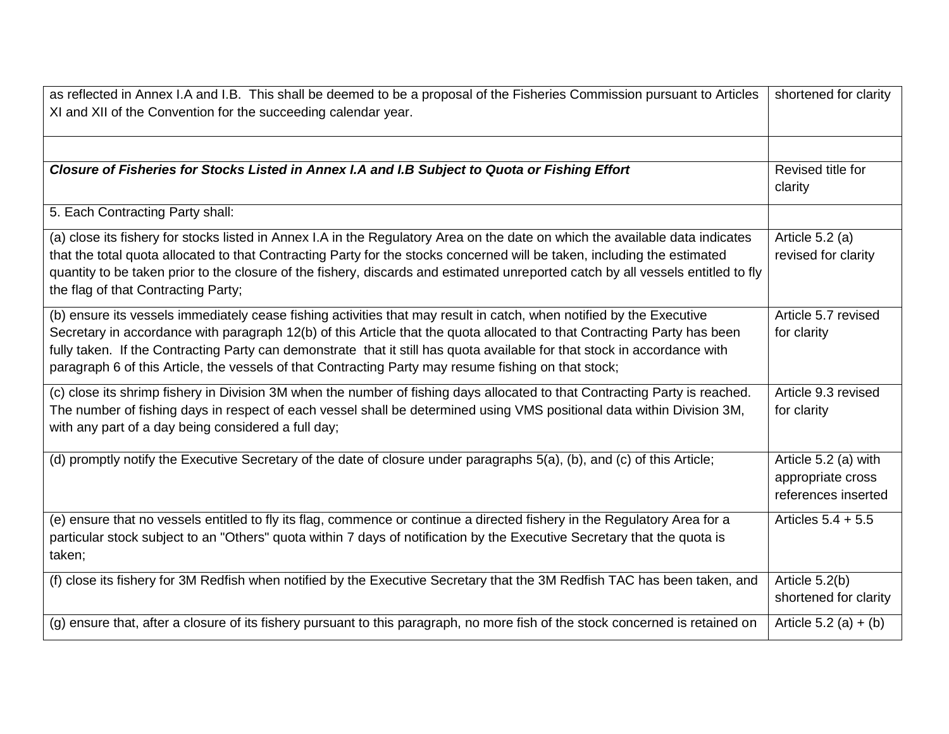| as reflected in Annex I.A and I.B. This shall be deemed to be a proposal of the Fisheries Commission pursuant to Articles                                                                                                                                                                                                                                                                                                                                                             | shortened for clarity                                            |
|---------------------------------------------------------------------------------------------------------------------------------------------------------------------------------------------------------------------------------------------------------------------------------------------------------------------------------------------------------------------------------------------------------------------------------------------------------------------------------------|------------------------------------------------------------------|
| XI and XII of the Convention for the succeeding calendar year.                                                                                                                                                                                                                                                                                                                                                                                                                        |                                                                  |
|                                                                                                                                                                                                                                                                                                                                                                                                                                                                                       |                                                                  |
|                                                                                                                                                                                                                                                                                                                                                                                                                                                                                       |                                                                  |
| Closure of Fisheries for Stocks Listed in Annex I.A and I.B Subject to Quota or Fishing Effort                                                                                                                                                                                                                                                                                                                                                                                        | Revised title for<br>clarity                                     |
| 5. Each Contracting Party shall:                                                                                                                                                                                                                                                                                                                                                                                                                                                      |                                                                  |
| (a) close its fishery for stocks listed in Annex I.A in the Regulatory Area on the date on which the available data indicates<br>that the total quota allocated to that Contracting Party for the stocks concerned will be taken, including the estimated<br>quantity to be taken prior to the closure of the fishery, discards and estimated unreported catch by all vessels entitled to fly<br>the flag of that Contracting Party;                                                  | Article 5.2 (a)<br>revised for clarity                           |
| (b) ensure its vessels immediately cease fishing activities that may result in catch, when notified by the Executive<br>Secretary in accordance with paragraph 12(b) of this Article that the quota allocated to that Contracting Party has been<br>fully taken. If the Contracting Party can demonstrate that it still has quota available for that stock in accordance with<br>paragraph 6 of this Article, the vessels of that Contracting Party may resume fishing on that stock; | Article 5.7 revised<br>for clarity                               |
| (c) close its shrimp fishery in Division 3M when the number of fishing days allocated to that Contracting Party is reached.<br>The number of fishing days in respect of each vessel shall be determined using VMS positional data within Division 3M,<br>with any part of a day being considered a full day;                                                                                                                                                                          | Article 9.3 revised<br>for clarity                               |
| (d) promptly notify the Executive Secretary of the date of closure under paragraphs 5(a), (b), and (c) of this Article;                                                                                                                                                                                                                                                                                                                                                               | Article 5.2 (a) with<br>appropriate cross<br>references inserted |
| (e) ensure that no vessels entitled to fly its flag, commence or continue a directed fishery in the Regulatory Area for a<br>particular stock subject to an "Others" quota within 7 days of notification by the Executive Secretary that the quota is<br>taken;                                                                                                                                                                                                                       | Articles $5.4 + 5.5$                                             |
| (f) close its fishery for 3M Redfish when notified by the Executive Secretary that the 3M Redfish TAC has been taken, and                                                                                                                                                                                                                                                                                                                                                             | Article 5.2(b)<br>shortened for clarity                          |
| (g) ensure that, after a closure of its fishery pursuant to this paragraph, no more fish of the stock concerned is retained on                                                                                                                                                                                                                                                                                                                                                        | Article 5.2 (a) $+$ (b)                                          |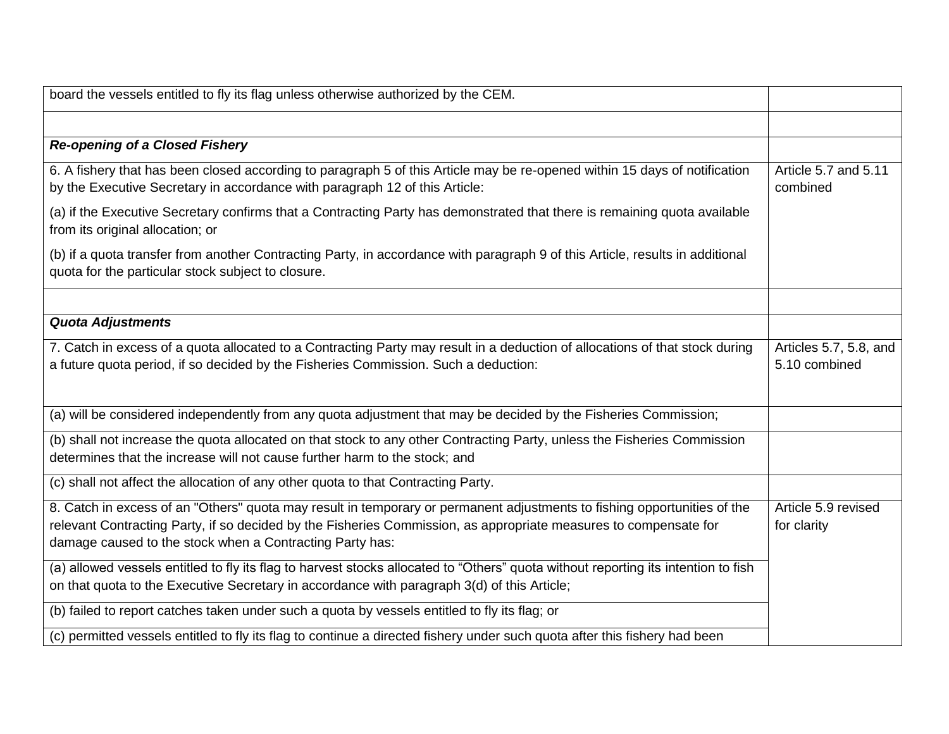| board the vessels entitled to fly its flag unless otherwise authorized by the CEM.                                                                                                                                                                                                                       |                                         |
|----------------------------------------------------------------------------------------------------------------------------------------------------------------------------------------------------------------------------------------------------------------------------------------------------------|-----------------------------------------|
|                                                                                                                                                                                                                                                                                                          |                                         |
| <b>Re-opening of a Closed Fishery</b>                                                                                                                                                                                                                                                                    |                                         |
| 6. A fishery that has been closed according to paragraph 5 of this Article may be re-opened within 15 days of notification<br>by the Executive Secretary in accordance with paragraph 12 of this Article:                                                                                                | Article 5.7 and 5.11<br>combined        |
| (a) if the Executive Secretary confirms that a Contracting Party has demonstrated that there is remaining quota available<br>from its original allocation; or                                                                                                                                            |                                         |
| (b) if a quota transfer from another Contracting Party, in accordance with paragraph 9 of this Article, results in additional<br>quota for the particular stock subject to closure.                                                                                                                      |                                         |
|                                                                                                                                                                                                                                                                                                          |                                         |
| <b>Quota Adjustments</b>                                                                                                                                                                                                                                                                                 |                                         |
| 7. Catch in excess of a quota allocated to a Contracting Party may result in a deduction of allocations of that stock during<br>a future quota period, if so decided by the Fisheries Commission. Such a deduction:                                                                                      | Articles 5.7, 5.8, and<br>5.10 combined |
| (a) will be considered independently from any quota adjustment that may be decided by the Fisheries Commission;                                                                                                                                                                                          |                                         |
| (b) shall not increase the quota allocated on that stock to any other Contracting Party, unless the Fisheries Commission<br>determines that the increase will not cause further harm to the stock; and                                                                                                   |                                         |
| (c) shall not affect the allocation of any other quota to that Contracting Party.                                                                                                                                                                                                                        |                                         |
| 8. Catch in excess of an "Others" quota may result in temporary or permanent adjustments to fishing opportunities of the<br>relevant Contracting Party, if so decided by the Fisheries Commission, as appropriate measures to compensate for<br>damage caused to the stock when a Contracting Party has: | Article 5.9 revised<br>for clarity      |
| (a) allowed vessels entitled to fly its flag to harvest stocks allocated to "Others" quota without reporting its intention to fish<br>on that quota to the Executive Secretary in accordance with paragraph 3(d) of this Article;                                                                        |                                         |
| (b) failed to report catches taken under such a quota by vessels entitled to fly its flag; or                                                                                                                                                                                                            |                                         |
| (c) permitted vessels entitled to fly its flag to continue a directed fishery under such quota after this fishery had been                                                                                                                                                                               |                                         |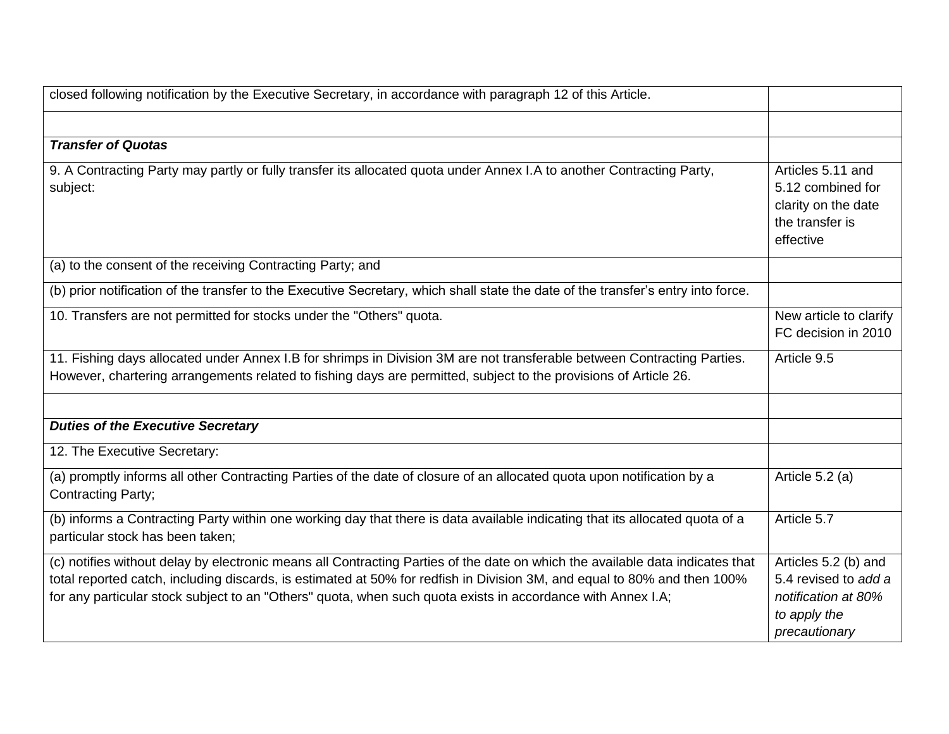| closed following notification by the Executive Secretary, in accordance with paragraph 12 of this Article.                                                                                                                                                                                                                                                               |                                                                                                      |
|--------------------------------------------------------------------------------------------------------------------------------------------------------------------------------------------------------------------------------------------------------------------------------------------------------------------------------------------------------------------------|------------------------------------------------------------------------------------------------------|
|                                                                                                                                                                                                                                                                                                                                                                          |                                                                                                      |
| <b>Transfer of Quotas</b>                                                                                                                                                                                                                                                                                                                                                |                                                                                                      |
| 9. A Contracting Party may partly or fully transfer its allocated quota under Annex I.A to another Contracting Party,<br>subject:                                                                                                                                                                                                                                        | Articles 5.11 and<br>5.12 combined for<br>clarity on the date<br>the transfer is<br>effective        |
| (a) to the consent of the receiving Contracting Party; and                                                                                                                                                                                                                                                                                                               |                                                                                                      |
| (b) prior notification of the transfer to the Executive Secretary, which shall state the date of the transfer's entry into force.                                                                                                                                                                                                                                        |                                                                                                      |
| 10. Transfers are not permitted for stocks under the "Others" quota.                                                                                                                                                                                                                                                                                                     | New article to clarify<br>FC decision in 2010                                                        |
| 11. Fishing days allocated under Annex I.B for shrimps in Division 3M are not transferable between Contracting Parties.<br>However, chartering arrangements related to fishing days are permitted, subject to the provisions of Article 26.                                                                                                                              | Article 9.5                                                                                          |
|                                                                                                                                                                                                                                                                                                                                                                          |                                                                                                      |
| <b>Duties of the Executive Secretary</b>                                                                                                                                                                                                                                                                                                                                 |                                                                                                      |
| 12. The Executive Secretary:                                                                                                                                                                                                                                                                                                                                             |                                                                                                      |
| (a) promptly informs all other Contracting Parties of the date of closure of an allocated quota upon notification by a<br>Contracting Party;                                                                                                                                                                                                                             | Article 5.2 (a)                                                                                      |
| (b) informs a Contracting Party within one working day that there is data available indicating that its allocated quota of a<br>particular stock has been taken;                                                                                                                                                                                                         | Article 5.7                                                                                          |
| (c) notifies without delay by electronic means all Contracting Parties of the date on which the available data indicates that<br>total reported catch, including discards, is estimated at 50% for redfish in Division 3M, and equal to 80% and then 100%<br>for any particular stock subject to an "Others" quota, when such quota exists in accordance with Annex I.A; | Articles 5.2 (b) and<br>5.4 revised to add a<br>notification at 80%<br>to apply the<br>precautionary |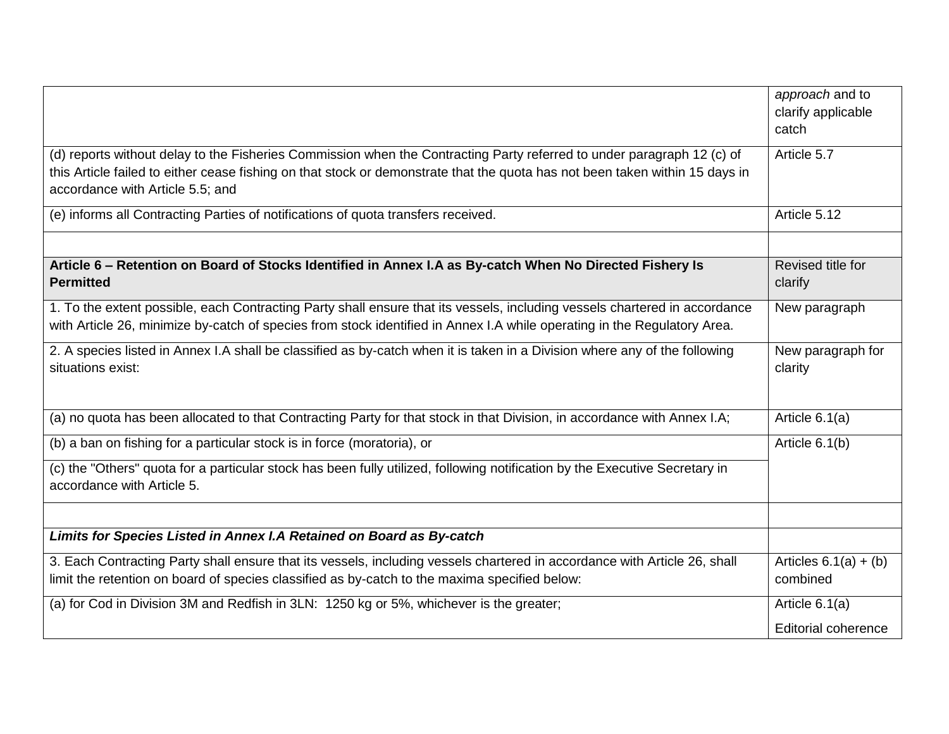|                                                                                                                              | approach and to         |
|------------------------------------------------------------------------------------------------------------------------------|-------------------------|
|                                                                                                                              | clarify applicable      |
|                                                                                                                              | catch                   |
| (d) reports without delay to the Fisheries Commission when the Contracting Party referred to under paragraph 12 (c) of       | Article 5.7             |
| this Article failed to either cease fishing on that stock or demonstrate that the quota has not been taken within 15 days in |                         |
| accordance with Article 5.5; and                                                                                             |                         |
| (e) informs all Contracting Parties of notifications of quota transfers received.                                            | Article 5.12            |
|                                                                                                                              |                         |
| Article 6 – Retention on Board of Stocks Identified in Annex I.A as By-catch When No Directed Fishery Is                     | Revised title for       |
| <b>Permitted</b>                                                                                                             | clarify                 |
| 1. To the extent possible, each Contracting Party shall ensure that its vessels, including vessels chartered in accordance   | New paragraph           |
| with Article 26, minimize by-catch of species from stock identified in Annex I.A while operating in the Regulatory Area.     |                         |
| 2. A species listed in Annex I.A shall be classified as by-catch when it is taken in a Division where any of the following   | New paragraph for       |
| situations exist:                                                                                                            | clarity                 |
|                                                                                                                              |                         |
| (a) no quota has been allocated to that Contracting Party for that stock in that Division, in accordance with Annex I.A;     | Article $6.1(a)$        |
| (b) a ban on fishing for a particular stock is in force (moratoria), or                                                      | Article 6.1(b)          |
| (c) the "Others" quota for a particular stock has been fully utilized, following notification by the Executive Secretary in  |                         |
| accordance with Article 5.                                                                                                   |                         |
|                                                                                                                              |                         |
| Limits for Species Listed in Annex I.A Retained on Board as By-catch                                                         |                         |
| 3. Each Contracting Party shall ensure that its vessels, including vessels chartered in accordance with Article 26, shall    | Articles $6.1(a) + (b)$ |
| limit the retention on board of species classified as by-catch to the maxima specified below:                                | combined                |
| (a) for Cod in Division 3M and Redfish in 3LN: 1250 kg or 5%, whichever is the greater;                                      | Article 6.1(a)          |
|                                                                                                                              | Editorial coherence     |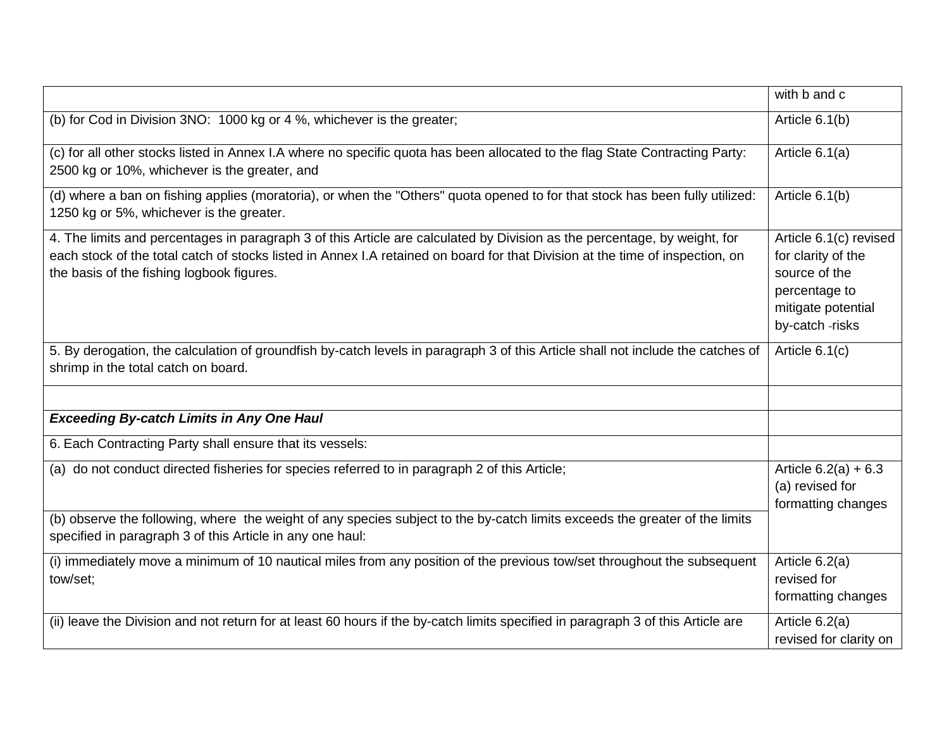|                                                                                                                                                                                                                                                                                                         | with b and c                                                                                                           |
|---------------------------------------------------------------------------------------------------------------------------------------------------------------------------------------------------------------------------------------------------------------------------------------------------------|------------------------------------------------------------------------------------------------------------------------|
| (b) for Cod in Division 3NO: 1000 kg or 4 %, whichever is the greater;                                                                                                                                                                                                                                  | Article 6.1(b)                                                                                                         |
| (c) for all other stocks listed in Annex I.A where no specific quota has been allocated to the flag State Contracting Party:<br>2500 kg or 10%, whichever is the greater, and                                                                                                                           | Article 6.1(a)                                                                                                         |
| (d) where a ban on fishing applies (moratoria), or when the "Others" quota opened to for that stock has been fully utilized:<br>1250 kg or 5%, whichever is the greater.                                                                                                                                | Article 6.1(b)                                                                                                         |
| 4. The limits and percentages in paragraph 3 of this Article are calculated by Division as the percentage, by weight, for<br>each stock of the total catch of stocks listed in Annex I.A retained on board for that Division at the time of inspection, on<br>the basis of the fishing logbook figures. | Article 6.1(c) revised<br>for clarity of the<br>source of the<br>percentage to<br>mitigate potential<br>by-catch-risks |
| 5. By derogation, the calculation of groundfish by-catch levels in paragraph 3 of this Article shall not include the catches of<br>shrimp in the total catch on board.                                                                                                                                  | Article $6.1(c)$                                                                                                       |
| <b>Exceeding By-catch Limits in Any One Haul</b>                                                                                                                                                                                                                                                        |                                                                                                                        |
| 6. Each Contracting Party shall ensure that its vessels:                                                                                                                                                                                                                                                |                                                                                                                        |
| (a) do not conduct directed fisheries for species referred to in paragraph 2 of this Article;                                                                                                                                                                                                           | Article $6.2(a) + 6.3$<br>(a) revised for<br>formatting changes                                                        |
| (b) observe the following, where the weight of any species subject to the by-catch limits exceeds the greater of the limits<br>specified in paragraph 3 of this Article in any one haul:                                                                                                                |                                                                                                                        |
| (i) immediately move a minimum of 10 nautical miles from any position of the previous tow/set throughout the subsequent<br>tow/set;                                                                                                                                                                     | Article 6.2(a)<br>revised for<br>formatting changes                                                                    |
| (ii) leave the Division and not return for at least 60 hours if the by-catch limits specified in paragraph 3 of this Article are                                                                                                                                                                        | Article 6.2(a)<br>revised for clarity on                                                                               |